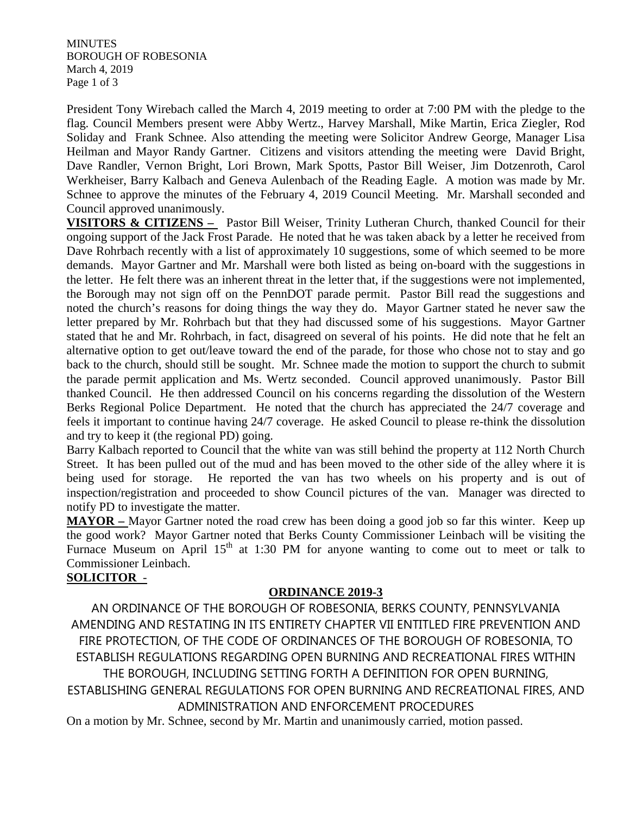**MINUTES** BOROUGH OF ROBESONIA March 4, 2019 Page 1 of 3

President Tony Wirebach called the March 4, 2019 meeting to order at 7:00 PM with the pledge to the flag. Council Members present were Abby Wertz., Harvey Marshall, Mike Martin, Erica Ziegler, Rod Soliday and Frank Schnee. Also attending the meeting were Solicitor Andrew George, Manager Lisa Heilman and Mayor Randy Gartner. Citizens and visitors attending the meeting were David Bright, Dave Randler, Vernon Bright, Lori Brown, Mark Spotts, Pastor Bill Weiser, Jim Dotzenroth, Carol Werkheiser, Barry Kalbach and Geneva Aulenbach of the Reading Eagle. A motion was made by Mr. Schnee to approve the minutes of the February 4, 2019 Council Meeting. Mr. Marshall seconded and Council approved unanimously.

**VISITORS & CITIZENS –** Pastor Bill Weiser, Trinity Lutheran Church, thanked Council for their ongoing support of the Jack Frost Parade. He noted that he was taken aback by a letter he received from Dave Rohrbach recently with a list of approximately 10 suggestions, some of which seemed to be more demands. Mayor Gartner and Mr. Marshall were both listed as being on-board with the suggestions in the letter. He felt there was an inherent threat in the letter that, if the suggestions were not implemented, the Borough may not sign off on the PennDOT parade permit. Pastor Bill read the suggestions and noted the church's reasons for doing things the way they do. Mayor Gartner stated he never saw the letter prepared by Mr. Rohrbach but that they had discussed some of his suggestions. Mayor Gartner stated that he and Mr. Rohrbach, in fact, disagreed on several of his points. He did note that he felt an alternative option to get out/leave toward the end of the parade, for those who chose not to stay and go back to the church, should still be sought. Mr. Schnee made the motion to support the church to submit the parade permit application and Ms. Wertz seconded. Council approved unanimously. Pastor Bill thanked Council. He then addressed Council on his concerns regarding the dissolution of the Western Berks Regional Police Department. He noted that the church has appreciated the 24/7 coverage and feels it important to continue having 24/7 coverage. He asked Council to please re-think the dissolution and try to keep it (the regional PD) going.

Barry Kalbach reported to Council that the white van was still behind the property at 112 North Church Street. It has been pulled out of the mud and has been moved to the other side of the alley where it is being used for storage. He reported the van has two wheels on his property and is out of inspection/registration and proceeded to show Council pictures of the van. Manager was directed to notify PD to investigate the matter.

**MAYOR –** Mayor Gartner noted the road crew has been doing a good job so far this winter. Keep up the good work? Mayor Gartner noted that Berks County Commissioner Leinbach will be visiting the Furnace Museum on April 15<sup>th</sup> at 1:30 PM for anyone wanting to come out to meet or talk to Commissioner Leinbach.

# **SOLICITOR** -

# **ORDINANCE 2019-3**

AN ORDINANCE OF THE BOROUGH OF ROBESONIA, BERKS COUNTY, PENNSYLVANIA AMENDING AND RESTATING IN ITS ENTIRETY CHAPTER VII ENTITLED FIRE PREVENTION AND FIRE PROTECTION, OF THE CODE OF ORDINANCES OF THE BOROUGH OF ROBESONIA, TO ESTABLISH REGULATIONS REGARDING OPEN BURNING AND RECREATIONAL FIRES WITHIN THE BOROUGH, INCLUDING SETTING FORTH A DEFINITION FOR OPEN BURNING,

ESTABLISHING GENERAL REGULATIONS FOR OPEN BURNING AND RECREATIONAL FIRES, AND ADMINISTRATION AND ENFORCEMENT PROCEDURES

On a motion by Mr. Schnee, second by Mr. Martin and unanimously carried, motion passed.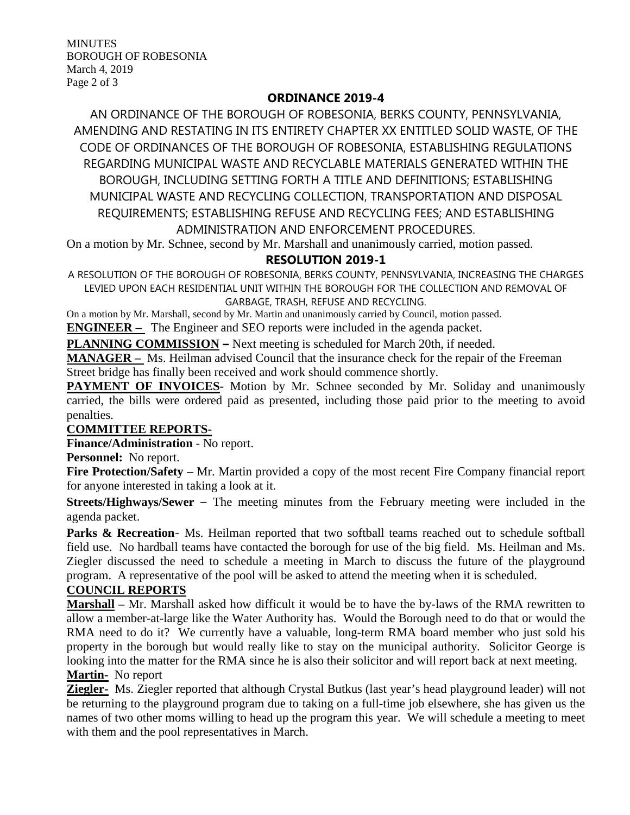**MINUTES** BOROUGH OF ROBESONIA March 4, 2019 Page 2 of 3

### **ORDINANCE 2019-4**

AN ORDINANCE OF THE BOROUGH OF ROBESONIA, BERKS COUNTY, PENNSYLVANIA, AMENDING AND RESTATING IN ITS ENTIRETY CHAPTER XX ENTITLED SOLID WASTE, OF THE CODE OF ORDINANCES OF THE BOROUGH OF ROBESONIA, ESTABLISHING REGULATIONS REGARDING MUNICIPAL WASTE AND RECYCLABLE MATERIALS GENERATED WITHIN THE BOROUGH, INCLUDING SETTING FORTH A TITLE AND DEFINITIONS; ESTABLISHING MUNICIPAL WASTE AND RECYCLING COLLECTION, TRANSPORTATION AND DISPOSAL REQUIREMENTS; ESTABLISHING REFUSE AND RECYCLING FEES; AND ESTABLISHING ADMINISTRATION AND ENFORCEMENT PROCEDURES.

On a motion by Mr. Schnee, second by Mr. Marshall and unanimously carried, motion passed.

# **RESOLUTION 2019-1**

A RESOLUTION OF THE BOROUGH OF ROBESONIA, BERKS COUNTY, PENNSYLVANIA, INCREASING THE CHARGES LEVIED UPON EACH RESIDENTIAL UNIT WITHIN THE BOROUGH FOR THE COLLECTION AND REMOVAL OF GARBAGE, TRASH, REFUSE AND RECYCLING.

On a motion by Mr. Marshall, second by Mr. Martin and unanimously carried by Council, motion passed.

**ENGINEER –** The Engineer and SEO reports were included in the agenda packet.

**PLANNING COMMISSION –** Next meeting is scheduled for March 20th, if needed.

**MANAGER –** Ms. Heilman advised Council that the insurance check for the repair of the Freeman Street bridge has finally been received and work should commence shortly.

**PAYMENT OF INVOICES-** Motion by Mr. Schnee seconded by Mr. Soliday and unanimously carried, the bills were ordered paid as presented, including those paid prior to the meeting to avoid penalties.

#### **COMMITTEE REPORTS-**

**Finance/Administration** - No report.

**Personnel:** No report.

**Fire Protection/Safety** – Mr. Martin provided a copy of the most recent Fire Company financial report for anyone interested in taking a look at it.

**Streets/Highways/Sewer** – The meeting minutes from the February meeting were included in the agenda packet.

Parks & Recreation- Ms. Heilman reported that two softball teams reached out to schedule softball field use. No hardball teams have contacted the borough for use of the big field. Ms. Heilman and Ms. Ziegler discussed the need to schedule a meeting in March to discuss the future of the playground program. A representative of the pool will be asked to attend the meeting when it is scheduled.

#### **COUNCIL REPORTS**

**Marshall –** Mr. Marshall asked how difficult it would be to have the by-laws of the RMA rewritten to allow a member-at-large like the Water Authority has. Would the Borough need to do that or would the RMA need to do it? We currently have a valuable, long-term RMA board member who just sold his property in the borough but would really like to stay on the municipal authority. Solicitor George is looking into the matter for the RMA since he is also their solicitor and will report back at next meeting. **Martin-** No report

**Ziegler-** Ms. Ziegler reported that although Crystal Butkus (last year's head playground leader) will not be returning to the playground program due to taking on a full-time job elsewhere, she has given us the names of two other moms willing to head up the program this year. We will schedule a meeting to meet with them and the pool representatives in March.